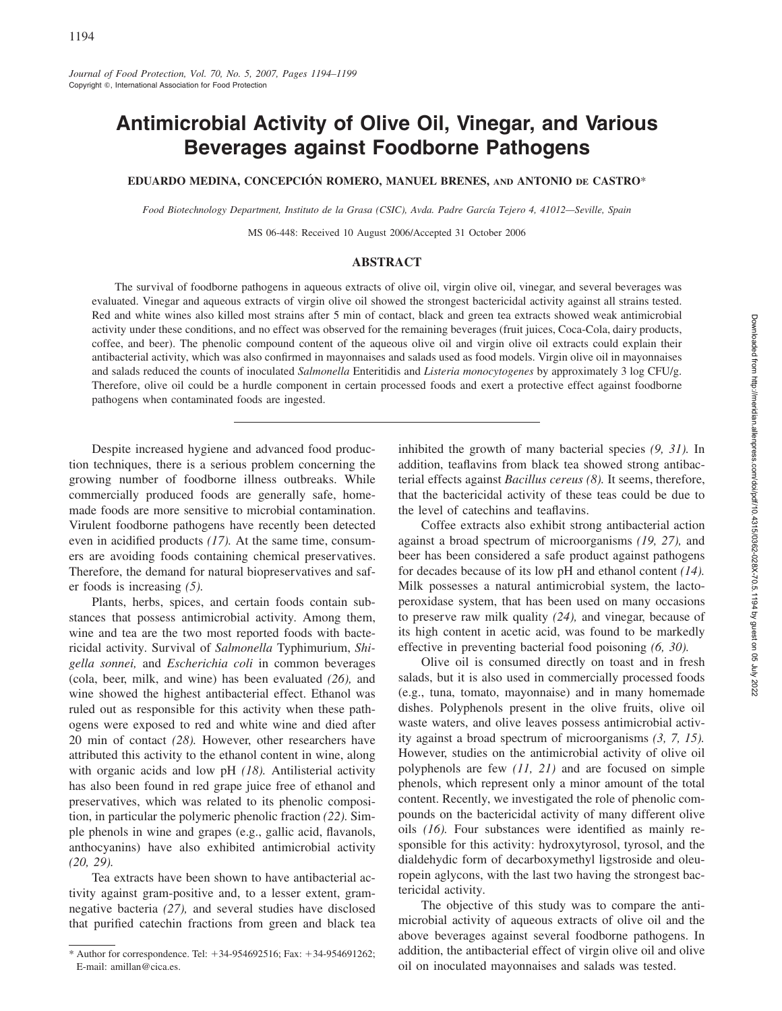# **Antimicrobial Activity of Olive Oil, Vinegar, and Various Beverages against Foodborne Pathogens**

# **EDUARDO MEDINA, CONCEPCIO´ N ROMERO, MANUEL BRENES, AND ANTONIO DE CASTRO**\*

*Food Biotechnology Department, Instituto de la Grasa (CSIC), Avda. Padre Garcı´a Tejero 4, 41012—Seville, Spain*

MS 06-448: Received 10 August 2006/Accepted 31 October 2006

### **ABSTRACT**

The survival of foodborne pathogens in aqueous extracts of olive oil, virgin olive oil, vinegar, and several beverages was evaluated. Vinegar and aqueous extracts of virgin olive oil showed the strongest bactericidal activity against all strains tested. Red and white wines also killed most strains after 5 min of contact, black and green tea extracts showed weak antimicrobial activity under these conditions, and no effect was observed for the remaining beverages (fruit juices, Coca-Cola, dairy products, coffee, and beer). The phenolic compound content of the aqueous olive oil and virgin olive oil extracts could explain their antibacterial activity, which was also confirmed in mayonnaises and salads used as food models. Virgin olive oil in mayonnaises and salads reduced the counts of inoculated *Salmonella* Enteritidis and *Listeria monocytogenes* by approximately 3 log CFU/g. Therefore, olive oil could be a hurdle component in certain processed foods and exert a protective effect against foodborne pathogens when contaminated foods are ingested.

Despite increased hygiene and advanced food production techniques, there is a serious problem concerning the growing number of foodborne illness outbreaks. While commercially produced foods are generally safe, homemade foods are more sensitive to microbial contamination. Virulent foodborne pathogens have recently been detected even in acidified products (17). At the same time, consumers are avoiding foods containing chemical preservatives. Therefore, the demand for natural biopreservatives and safer foods is increasing *(5).*

Plants, herbs, spices, and certain foods contain substances that possess antimicrobial activity. Among them, wine and tea are the two most reported foods with bactericidal activity. Survival of *Salmonella* Typhimurium, *Shigella sonnei,* and *Escherichia coli* in common beverages (cola, beer, milk, and wine) has been evaluated *(26),* and wine showed the highest antibacterial effect. Ethanol was ruled out as responsible for this activity when these pathogens were exposed to red and white wine and died after 20 min of contact *(28).* However, other researchers have attributed this activity to the ethanol content in wine, along with organic acids and low pH *(18).* Antilisterial activity has also been found in red grape juice free of ethanol and preservatives, which was related to its phenolic composition, in particular the polymeric phenolic fraction *(22).* Simple phenols in wine and grapes (e.g., gallic acid, flavanols, anthocyanins) have also exhibited antimicrobial activity *(20, 29).*

Tea extracts have been shown to have antibacterial activity against gram-positive and, to a lesser extent, gramnegative bacteria *(27),* and several studies have disclosed that purified catechin fractions from green and black tea inhibited the growth of many bacterial species *(9, 31).* In addition, teaflavins from black tea showed strong antibacterial effects against *Bacillus cereus (8).* It seems, therefore, that the bactericidal activity of these teas could be due to the level of catechins and teaflavins.

Coffee extracts also exhibit strong antibacterial action against a broad spectrum of microorganisms *(19, 27),* and beer has been considered a safe product against pathogens for decades because of its low pH and ethanol content *(14).* Milk possesses a natural antimicrobial system, the lactoperoxidase system, that has been used on many occasions to preserve raw milk quality *(24),* and vinegar, because of its high content in acetic acid, was found to be markedly effective in preventing bacterial food poisoning *(6, 30).*

Olive oil is consumed directly on toast and in fresh salads, but it is also used in commercially processed foods (e.g., tuna, tomato, mayonnaise) and in many homemade dishes. Polyphenols present in the olive fruits, olive oil waste waters, and olive leaves possess antimicrobial activity against a broad spectrum of microorganisms *(3, 7, 15).* However, studies on the antimicrobial activity of olive oil polyphenols are few *(11, 21)* and are focused on simple phenols, which represent only a minor amount of the total content. Recently, we investigated the role of phenolic compounds on the bactericidal activity of many different olive oils *(16).* Four substances were identified as mainly responsible for this activity: hydroxytyrosol, tyrosol, and the dialdehydic form of decarboxymethyl ligstroside and oleuropein aglycons, with the last two having the strongest bactericidal activity.

The objective of this study was to compare the antimicrobial activity of aqueous extracts of olive oil and the above beverages against several foodborne pathogens. In addition, the antibacterial effect of virgin olive oil and olive oil on inoculated mayonnaises and salads was tested.

<sup>\*</sup> Author for correspondence. Tel: -34-954692516; Fax: -34-954691262; E-mail: amillan@cica.es.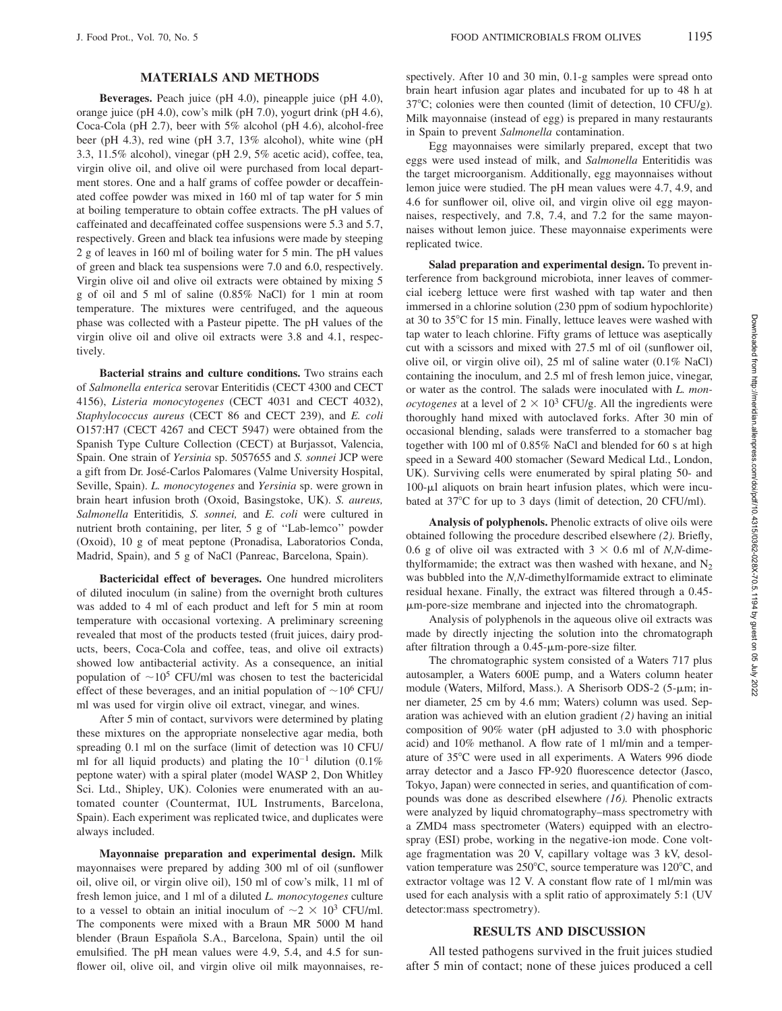### **MATERIALS AND METHODS**

**Beverages.** Peach juice (pH 4.0), pineapple juice (pH 4.0), orange juice (pH 4.0), cow's milk (pH 7.0), yogurt drink (pH 4.6), Coca-Cola (pH 2.7), beer with 5% alcohol (pH 4.6), alcohol-free beer (pH 4.3), red wine (pH 3.7, 13% alcohol), white wine (pH 3.3, 11.5% alcohol), vinegar (pH 2.9, 5% acetic acid), coffee, tea, virgin olive oil, and olive oil were purchased from local department stores. One and a half grams of coffee powder or decaffeinated coffee powder was mixed in 160 ml of tap water for 5 min at boiling temperature to obtain coffee extracts. The pH values of caffeinated and decaffeinated coffee suspensions were 5.3 and 5.7, respectively. Green and black tea infusions were made by steeping 2 g of leaves in 160 ml of boiling water for 5 min. The pH values of green and black tea suspensions were 7.0 and 6.0, respectively. Virgin olive oil and olive oil extracts were obtained by mixing 5 g of oil and 5 ml of saline (0.85% NaCl) for 1 min at room temperature. The mixtures were centrifuged, and the aqueous phase was collected with a Pasteur pipette. The pH values of the virgin olive oil and olive oil extracts were 3.8 and 4.1, respectively.

**Bacterial strains and culture conditions.** Two strains each of *Salmonella enterica* serovar Enteritidis (CECT 4300 and CECT 4156), *Listeria monocytogenes* (CECT 4031 and CECT 4032), *Staphylococcus aureus* (CECT 86 and CECT 239), and *E. coli* O157:H7 (CECT 4267 and CECT 5947) were obtained from the Spanish Type Culture Collection (CECT) at Burjassot, Valencia, Spain. One strain of *Yersinia* sp. 5057655 and *S. sonnei* JCP were a gift from Dr. Jose´-Carlos Palomares (Valme University Hospital, Seville, Spain). *L. monocytogenes* and *Yersinia* sp. were grown in brain heart infusion broth (Oxoid, Basingstoke, UK). *S. aureus, Salmonella* Enteritidis*, S. sonnei,* and *E. coli* were cultured in nutrient broth containing, per liter, 5 g of ''Lab-lemco'' powder (Oxoid), 10 g of meat peptone (Pronadisa, Laboratorios Conda, Madrid, Spain), and 5 g of NaCl (Panreac, Barcelona, Spain).

**Bactericidal effect of beverages.** One hundred microliters of diluted inoculum (in saline) from the overnight broth cultures was added to 4 ml of each product and left for 5 min at room temperature with occasional vortexing. A preliminary screening revealed that most of the products tested (fruit juices, dairy products, beers, Coca-Cola and coffee, teas, and olive oil extracts) showed low antibacterial activity. As a consequence, an initial population of  $\sim 10^5$  CFU/ml was chosen to test the bactericidal effect of these beverages, and an initial population of  $\sim 10^6$  CFU/ ml was used for virgin olive oil extract, vinegar, and wines.

After 5 min of contact, survivors were determined by plating these mixtures on the appropriate nonselective agar media, both spreading 0.1 ml on the surface (limit of detection was 10 CFU/ ml for all liquid products) and plating the  $10^{-1}$  dilution (0.1%) peptone water) with a spiral plater (model WASP 2, Don Whitley Sci. Ltd., Shipley, UK). Colonies were enumerated with an automated counter (Countermat, IUL Instruments, Barcelona, Spain). Each experiment was replicated twice, and duplicates were always included.

**Mayonnaise preparation and experimental design.** Milk mayonnaises were prepared by adding 300 ml of oil (sunflower oil, olive oil, or virgin olive oil), 150 ml of cow's milk, 11 ml of fresh lemon juice, and 1 ml of a diluted *L. monocytogenes* culture to a vessel to obtain an initial inoculum of  $\sim$  2  $\times$  10<sup>3</sup> CFU/ml. The components were mixed with a Braun MR 5000 M hand blender (Braun Española S.A., Barcelona, Spain) until the oil emulsified. The pH mean values were 4.9, 5.4, and 4.5 for sunflower oil, olive oil, and virgin olive oil milk mayonnaises, respectively. After 10 and 30 min, 0.1-g samples were spread onto brain heart infusion agar plates and incubated for up to 48 h at  $37^{\circ}$ C; colonies were then counted (limit of detection, 10 CFU/g). Milk mayonnaise (instead of egg) is prepared in many restaurants in Spain to prevent *Salmonella* contamination.

Egg mayonnaises were similarly prepared, except that two eggs were used instead of milk, and *Salmonella* Enteritidis was the target microorganism. Additionally, egg mayonnaises without lemon juice were studied. The pH mean values were 4.7, 4.9, and 4.6 for sunflower oil, olive oil, and virgin olive oil egg mayonnaises, respectively, and 7.8, 7.4, and 7.2 for the same mayonnaises without lemon juice. These mayonnaise experiments were replicated twice.

**Salad preparation and experimental design.** To prevent interference from background microbiota, inner leaves of commercial iceberg lettuce were first washed with tap water and then immersed in a chlorine solution (230 ppm of sodium hypochlorite) at 30 to 35°C for 15 min. Finally, lettuce leaves were washed with tap water to leach chlorine. Fifty grams of lettuce was aseptically cut with a scissors and mixed with 27.5 ml of oil (sunflower oil, olive oil, or virgin olive oil), 25 ml of saline water (0.1% NaCl) containing the inoculum, and 2.5 ml of fresh lemon juice, vinegar, or water as the control. The salads were inoculated with *L. monocytogenes* at a level of  $2 \times 10^3$  CFU/g. All the ingredients were thoroughly hand mixed with autoclaved forks. After 30 min of occasional blending, salads were transferred to a stomacher bag together with 100 ml of 0.85% NaCl and blended for 60 s at high speed in a Seward 400 stomacher (Seward Medical Ltd., London, UK). Surviving cells were enumerated by spiral plating 50- and  $100-\mu$  aliquots on brain heart infusion plates, which were incubated at 37<sup>o</sup>C for up to 3 days (limit of detection, 20 CFU/ml).

**Analysis of polyphenols.** Phenolic extracts of olive oils were obtained following the procedure described elsewhere *(2).* Briefly, 0.6 g of olive oil was extracted with  $3 \times 0.6$  ml of *N,N*-dimethylformamide; the extract was then washed with hexane, and  $N_2$ was bubbled into the *N,N*-dimethylformamide extract to eliminate residual hexane. Finally, the extract was filtered through a 0.45 m-pore-size membrane and injected into the chromatograph.

Analysis of polyphenols in the aqueous olive oil extracts was made by directly injecting the solution into the chromatograph after filtration through a  $0.45$ - $\mu$ m-pore-size filter.

The chromatographic system consisted of a Waters 717 plus autosampler, a Waters 600E pump, and a Waters column heater module (Waters, Milford, Mass.). A Sherisorb ODS-2 (5-µm; inner diameter, 25 cm by 4.6 mm; Waters) column was used. Separation was achieved with an elution gradient *(2)* having an initial composition of 90% water (pH adjusted to 3.0 with phosphoric acid) and 10% methanol. A flow rate of 1 ml/min and a temperature of 35C were used in all experiments. A Waters 996 diode array detector and a Jasco FP-920 fluorescence detector (Jasco, Tokyo, Japan) were connected in series, and quantification of compounds was done as described elsewhere *(16).* Phenolic extracts were analyzed by liquid chromatography–mass spectrometry with a ZMD4 mass spectrometer (Waters) equipped with an electrospray (ESI) probe, working in the negative-ion mode. Cone voltage fragmentation was 20 V, capillary voltage was 3 kV, desolvation temperature was  $250^{\circ}$ C, source temperature was  $120^{\circ}$ C, and extractor voltage was 12 V. A constant flow rate of 1 ml/min was used for each analysis with a split ratio of approximately 5:1 (UV detector:mass spectrometry).

## **RESULTS AND DISCUSSION**

All tested pathogens survived in the fruit juices studied after 5 min of contact; none of these juices produced a cell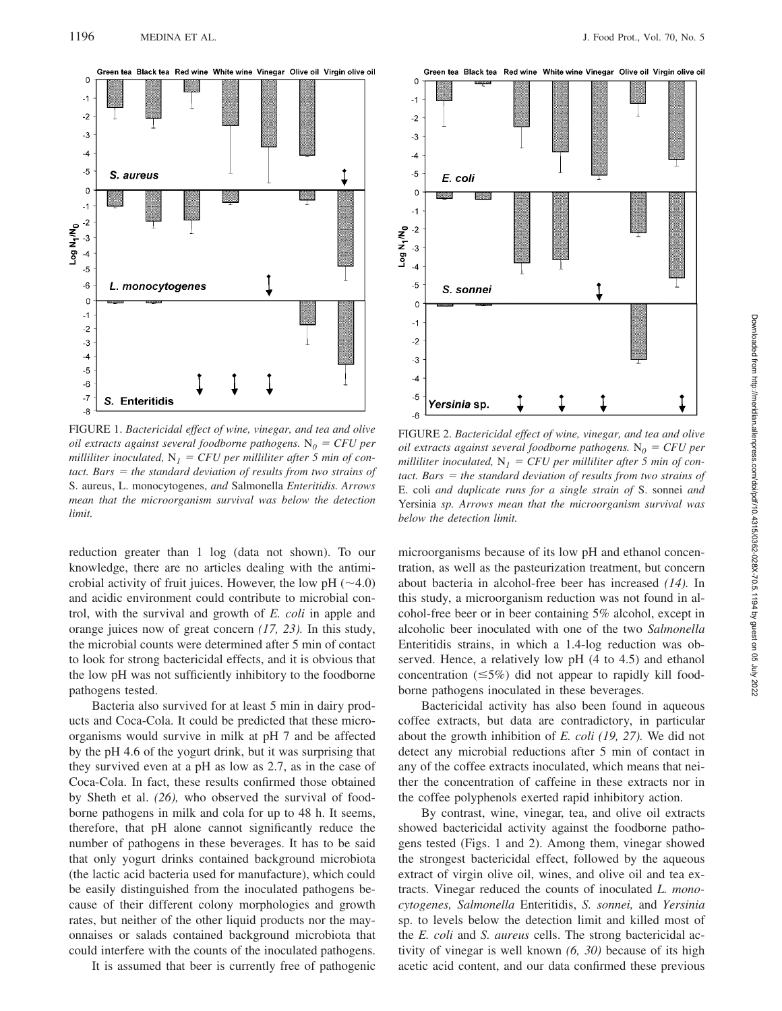

FIGURE 1. *Bactericidal effect of wine, vinegar, and tea and olive oil extracts against several foodborne pathogens.*  $N_0 = CFU$  *per* milliliter inoculated,  $N_1 = CFU$  per milliliter after 5 min of con*tact. Bars the standard deviation of results from two strains of* S. aureus, L. monocytogenes, *and* Salmonella *Enteritidis. Arrows mean that the microorganism survival was below the detection limit.*

reduction greater than 1 log (data not shown). To our knowledge, there are no articles dealing with the antimicrobial activity of fruit juices. However, the low pH  $(\sim 4.0)$ and acidic environment could contribute to microbial control, with the survival and growth of *E. coli* in apple and orange juices now of great concern *(17, 23).* In this study, the microbial counts were determined after 5 min of contact to look for strong bactericidal effects, and it is obvious that the low pH was not sufficiently inhibitory to the foodborne pathogens tested.

Bacteria also survived for at least 5 min in dairy products and Coca-Cola. It could be predicted that these microorganisms would survive in milk at pH 7 and be affected by the pH 4.6 of the yogurt drink, but it was surprising that they survived even at a pH as low as 2.7, as in the case of Coca-Cola. In fact, these results confirmed those obtained by Sheth et al. *(26),* who observed the survival of foodborne pathogens in milk and cola for up to 48 h. It seems, therefore, that pH alone cannot significantly reduce the number of pathogens in these beverages. It has to be said that only yogurt drinks contained background microbiota (the lactic acid bacteria used for manufacture), which could be easily distinguished from the inoculated pathogens because of their different colony morphologies and growth rates, but neither of the other liquid products nor the mayonnaises or salads contained background microbiota that could interfere with the counts of the inoculated pathogens.

It is assumed that beer is currently free of pathogenic



FIGURE 2. *Bactericidal effect of wine, vinegar, and tea and olive oil extracts against several foodborne pathogens.*  $N_0 = CFU$  *per* milliliter inoculated,  $N_1 = CFU$  per milliliter after 5 min of con*tact. Bars the standard deviation of results from two strains of* E. coli *and duplicate runs for a single strain of* S. sonnei *and* Yersinia *sp. Arrows mean that the microorganism survival was below the detection limit.*

microorganisms because of its low pH and ethanol concentration, as well as the pasteurization treatment, but concern about bacteria in alcohol-free beer has increased *(14).* In this study, a microorganism reduction was not found in alcohol-free beer or in beer containing 5% alcohol, except in alcoholic beer inoculated with one of the two *Salmonella* Enteritidis strains, in which a 1.4-log reduction was observed. Hence, a relatively low pH (4 to 4.5) and ethanol concentration  $(\leq 5\%)$  did not appear to rapidly kill foodborne pathogens inoculated in these beverages.

Bactericidal activity has also been found in aqueous coffee extracts, but data are contradictory, in particular about the growth inhibition of *E. coli (19, 27).* We did not detect any microbial reductions after 5 min of contact in any of the coffee extracts inoculated, which means that neither the concentration of caffeine in these extracts nor in the coffee polyphenols exerted rapid inhibitory action.

By contrast, wine, vinegar, tea, and olive oil extracts showed bactericidal activity against the foodborne pathogens tested (Figs. 1 and 2). Among them, vinegar showed the strongest bactericidal effect, followed by the aqueous extract of virgin olive oil, wines, and olive oil and tea extracts. Vinegar reduced the counts of inoculated *L. monocytogenes, Salmonella* Enteritidis, *S. sonnei,* and *Yersinia* sp. to levels below the detection limit and killed most of the *E. coli* and *S. aureus* cells. The strong bactericidal activity of vinegar is well known *(6, 30)* because of its high acetic acid content, and our data confirmed these previous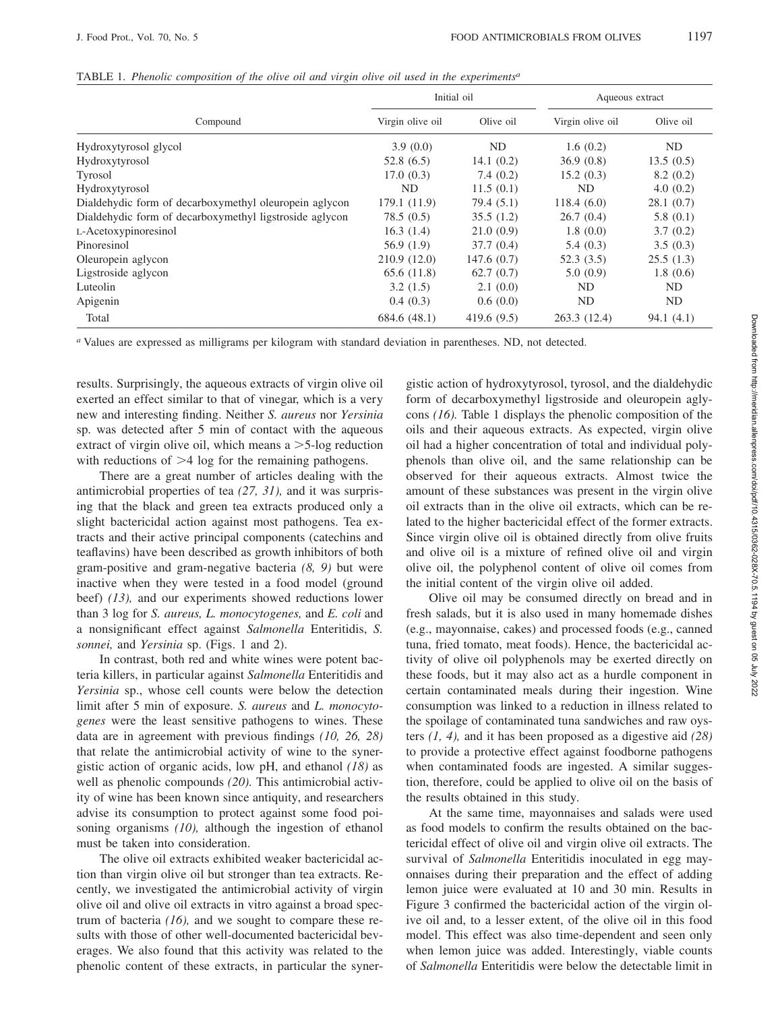| TABLE 1. Phenolic composition of the olive oil and virgin olive oil used in the experiments <sup>a</sup> |  |  |
|----------------------------------------------------------------------------------------------------------|--|--|
|----------------------------------------------------------------------------------------------------------|--|--|

|                                                         | Initial oil      |             | Aqueous extract  |           |
|---------------------------------------------------------|------------------|-------------|------------------|-----------|
| Compound                                                | Virgin olive oil | Olive oil   | Virgin olive oil | Olive oil |
| Hydroxytyrosol glycol                                   | 3.9(0.0)         | ND          | 1.6(0.2)         | ND        |
| Hydroxytyrosol                                          | 52.8(6.5)        | 14.1(0.2)   | 36.9(0.8)        | 13.5(0.5) |
| <b>Tyrosol</b>                                          | 17.0(0.3)        | 7.4(0.2)    | 15.2(0.3)        | 8.2(0.2)  |
| Hydroxytyrosol                                          | ND.              | 11.5(0.1)   | ND               | 4.0(0.2)  |
| Dialdehydic form of decarboxymethyl oleuropein aglycon  | 179.1 (11.9)     | 79.4(5.1)   | 118.4(6.0)       | 28.1(0.7) |
| Dialdehydic form of decarboxymethyl ligstroside aglycon | 78.5(0.5)        | 35.5(1.2)   | 26.7(0.4)        | 5.8(0.1)  |
| L-Acetoxypinoresinol                                    | 16.3(1.4)        | 21.0(0.9)   | 1.8(0.0)         | 3.7(0.2)  |
| Pinoresinol                                             | 56.9(1.9)        | 37.7(0.4)   | 5.4(0.3)         | 3.5(0.3)  |
| Oleuropein aglycon                                      | 210.9(12.0)      | 147.6(0.7)  | 52.3(3.5)        | 25.5(1.3) |
| Ligstroside aglycon                                     | 65.6 (11.8)      | 62.7(0.7)   | 5.0(0.9)         | 1.8(0.6)  |
| Luteolin                                                | 3.2(1.5)         | 2.1(0.0)    | ND               | ND        |
| Apigenin                                                | 0.4(0.3)         | 0.6(0.0)    | ND               | ND.       |
| Total                                                   | 684.6 (48.1)     | 419.6 (9.5) | 263.3 (12.4)     | 94.1(4.1) |

*<sup>a</sup>* Values are expressed as milligrams per kilogram with standard deviation in parentheses. ND, not detected.

results. Surprisingly, the aqueous extracts of virgin olive oil exerted an effect similar to that of vinegar, which is a very new and interesting finding. Neither *S. aureus* nor *Yersinia* sp. was detected after 5 min of contact with the aqueous extract of virgin olive oil, which means  $a > 5$ -log reduction with reductions of  $>4$  log for the remaining pathogens.

There are a great number of articles dealing with the antimicrobial properties of tea *(27, 31),* and it was surprising that the black and green tea extracts produced only a slight bactericidal action against most pathogens. Tea extracts and their active principal components (catechins and teaflavins) have been described as growth inhibitors of both gram-positive and gram-negative bacteria *(8, 9)* but were inactive when they were tested in a food model (ground beef) *(13),* and our experiments showed reductions lower than 3 log for *S. aureus, L. monocytogenes,* and *E. coli* and a nonsignificant effect against *Salmonella* Enteritidis, *S. sonnei,* and *Yersinia* sp. (Figs. 1 and 2).

In contrast, both red and white wines were potent bacteria killers, in particular against *Salmonella* Enteritidis and *Yersinia* sp., whose cell counts were below the detection limit after 5 min of exposure. *S. aureus* and *L. monocytogenes* were the least sensitive pathogens to wines. These data are in agreement with previous findings *(10, 26, 28)* that relate the antimicrobial activity of wine to the synergistic action of organic acids, low pH, and ethanol *(18)* as well as phenolic compounds *(20).* This antimicrobial activity of wine has been known since antiquity, and researchers advise its consumption to protect against some food poisoning organisms *(10),* although the ingestion of ethanol must be taken into consideration.

The olive oil extracts exhibited weaker bactericidal action than virgin olive oil but stronger than tea extracts. Recently, we investigated the antimicrobial activity of virgin olive oil and olive oil extracts in vitro against a broad spectrum of bacteria *(16),* and we sought to compare these results with those of other well-documented bactericidal beverages. We also found that this activity was related to the phenolic content of these extracts, in particular the synergistic action of hydroxytyrosol, tyrosol, and the dialdehydic form of decarboxymethyl ligstroside and oleuropein aglycons *(16).* Table 1 displays the phenolic composition of the oils and their aqueous extracts. As expected, virgin olive oil had a higher concentration of total and individual polyphenols than olive oil, and the same relationship can be observed for their aqueous extracts. Almost twice the amount of these substances was present in the virgin olive oil extracts than in the olive oil extracts, which can be related to the higher bactericidal effect of the former extracts. Since virgin olive oil is obtained directly from olive fruits and olive oil is a mixture of refined olive oil and virgin olive oil, the polyphenol content of olive oil comes from the initial content of the virgin olive oil added.

Olive oil may be consumed directly on bread and in fresh salads, but it is also used in many homemade dishes (e.g., mayonnaise, cakes) and processed foods (e.g., canned tuna, fried tomato, meat foods). Hence, the bactericidal activity of olive oil polyphenols may be exerted directly on these foods, but it may also act as a hurdle component in certain contaminated meals during their ingestion. Wine consumption was linked to a reduction in illness related to the spoilage of contaminated tuna sandwiches and raw oysters *(1, 4),* and it has been proposed as a digestive aid *(28)* to provide a protective effect against foodborne pathogens when contaminated foods are ingested. A similar suggestion, therefore, could be applied to olive oil on the basis of the results obtained in this study.

At the same time, mayonnaises and salads were used as food models to confirm the results obtained on the bactericidal effect of olive oil and virgin olive oil extracts. The survival of *Salmonella* Enteritidis inoculated in egg mayonnaises during their preparation and the effect of adding lemon juice were evaluated at 10 and 30 min. Results in Figure 3 confirmed the bactericidal action of the virgin olive oil and, to a lesser extent, of the olive oil in this food model. This effect was also time-dependent and seen only when lemon juice was added. Interestingly, viable counts of *Salmonella* Enteritidis were below the detectable limit in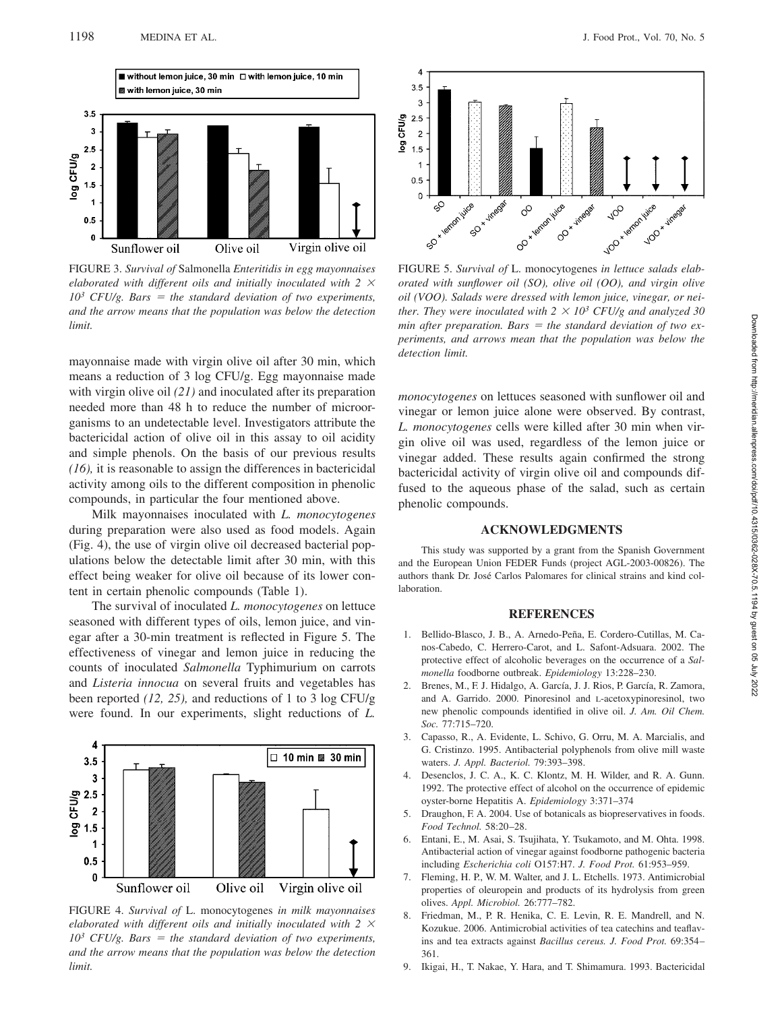

FIGURE 3. *Survival of* Salmonella *Enteritidis in egg mayonnaises elaborated with different oils and initially inoculated with 2*  $10^3$  CFU/g. Bars = the standard deviation of two experiments, *and the arrow means that the population was below the detection limit.*

mayonnaise made with virgin olive oil after 30 min, which means a reduction of 3 log CFU/g. Egg mayonnaise made with virgin olive oil *(21)* and inoculated after its preparation needed more than 48 h to reduce the number of microorganisms to an undetectable level. Investigators attribute the bactericidal action of olive oil in this assay to oil acidity and simple phenols. On the basis of our previous results *(16),* it is reasonable to assign the differences in bactericidal activity among oils to the different composition in phenolic compounds, in particular the four mentioned above.

Milk mayonnaises inoculated with *L. monocytogenes* during preparation were also used as food models. Again (Fig. 4), the use of virgin olive oil decreased bacterial populations below the detectable limit after 30 min, with this effect being weaker for olive oil because of its lower content in certain phenolic compounds (Table 1).

The survival of inoculated *L. monocytogenes* on lettuce seasoned with different types of oils, lemon juice, and vinegar after a 30-min treatment is reflected in Figure 5. The effectiveness of vinegar and lemon juice in reducing the counts of inoculated *Salmonella* Typhimurium on carrots and *Listeria innocua* on several fruits and vegetables has been reported *(12, 25),* and reductions of 1 to 3 log CFU/g were found. In our experiments, slight reductions of *L.*



FIGURE 4. *Survival of* L. monocytogenes *in milk mayonnaises elaborated with different oils and initially inoculated with 2*  $10^3$  CFU/g. Bars = the standard deviation of two experiments, *and the arrow means that the population was below the detection limit.*



*orated with sunflower oil (SO), olive oil (OO), and virgin olive oil (VOO). Salads were dressed with lemon juice, vinegar, or neither. They were inoculated with*  $2 \times 10^3$  *CFU/g and analyzed 30* min after preparation. Bars = the standard deviation of two ex*periments, and arrows mean that the population was below the detection limit.*

*monocytogenes* on lettuces seasoned with sunflower oil and vinegar or lemon juice alone were observed. By contrast, *L. monocytogenes* cells were killed after 30 min when virgin olive oil was used, regardless of the lemon juice or vinegar added. These results again confirmed the strong bactericidal activity of virgin olive oil and compounds diffused to the aqueous phase of the salad, such as certain phenolic compounds.

#### **ACKNOWLEDGMENTS**

This study was supported by a grant from the Spanish Government and the European Union FEDER Funds (project AGL-2003-00826). The authors thank Dr. José Carlos Palomares for clinical strains and kind collaboration.

#### **REFERENCES**

- 1. Bellido-Blasco, J. B., A. Arnedo-Peña, E. Cordero-Cutillas, M. Canos-Cabedo, C. Herrero-Carot, and L. Safont-Adsuara. 2002. The protective effect of alcoholic beverages on the occurrence of a *Salmonella* foodborne outbreak. *Epidemiology* 13:228–230.
- 2. Brenes, M., F. J. Hidalgo, A. García, J. J. Rios, P. García, R. Zamora, and A. Garrido. 2000. Pinoresinol and L-acetoxypinoresinol, two new phenolic compounds identified in olive oil. *J. Am. Oil Chem. Soc.* 77:715–720.
- 3. Capasso, R., A. Evidente, L. Schivo, G. Orru, M. A. Marcialis, and G. Cristinzo. 1995. Antibacterial polyphenols from olive mill waste waters. *J. Appl. Bacteriol.* 79:393–398.
- Desenclos, J. C. A., K. C. Klontz, M. H. Wilder, and R. A. Gunn. 1992. The protective effect of alcohol on the occurrence of epidemic oyster-borne Hepatitis A. *Epidemiology* 3:371–374
- 5. Draughon, F. A. 2004. Use of botanicals as biopreservatives in foods. *Food Technol.* 58:20–28.
- 6. Entani, E., M. Asai, S. Tsujihata, Y. Tsukamoto, and M. Ohta. 1998. Antibacterial action of vinegar against foodborne pathogenic bacteria including *Escherichia coli* O157:H7. *J. Food Prot.* 61:953–959.
- 7. Fleming, H. P., W. M. Walter, and J. L. Etchells. 1973. Antimicrobial properties of oleuropein and products of its hydrolysis from green olives. *Appl. Microbiol.* 26:777–782.
- 8. Friedman, M., P. R. Henika, C. E. Levin, R. E. Mandrell, and N. Kozukue. 2006. Antimicrobial activities of tea catechins and teaflavins and tea extracts against *Bacillus cereus. J. Food Prot.* 69:354– 361.
- 9. Ikigai, H., T. Nakae, Y. Hara, and T. Shimamura. 1993. Bactericidal